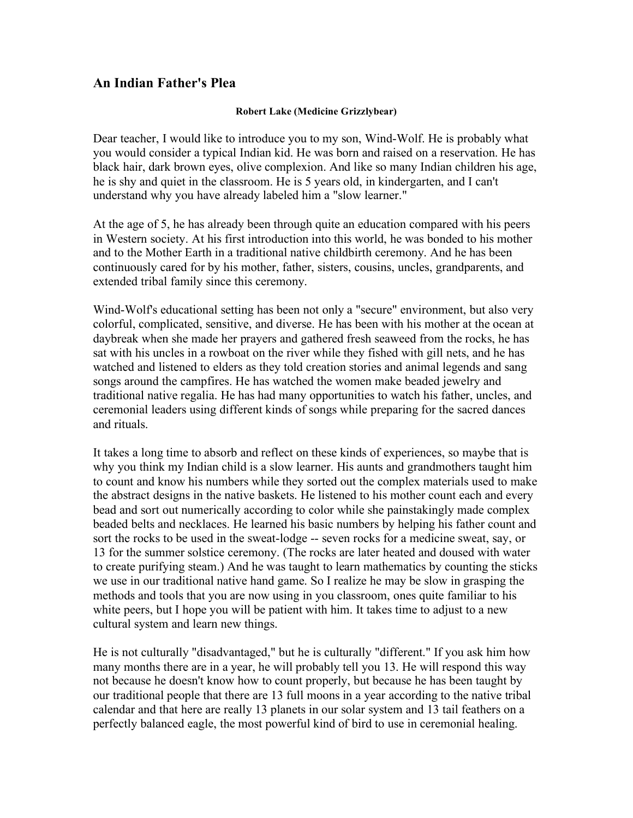## **An Indian Father's Plea**

## **Robert Lake (Medicine Grizzlybear)**

Dear teacher, I would like to introduce you to my son, Wind-Wolf. He is probably what you would consider a typical Indian kid. He was born and raised on a reservation. He has black hair, dark brown eyes, olive complexion. And like so many Indian children his age, he is shy and quiet in the classroom. He is 5 years old, in kindergarten, and I can't understand why you have already labeled him a "slow learner."

At the age of 5, he has already been through quite an education compared with his peers in Western society. At his first introduction into this world, he was bonded to his mother and to the Mother Earth in a traditional native childbirth ceremony. And he has been continuously cared for by his mother, father, sisters, cousins, uncles, grandparents, and extended tribal family since this ceremony.

Wind-Wolf's educational setting has been not only a "secure" environment, but also very colorful, complicated, sensitive, and diverse. He has been with his mother at the ocean at daybreak when she made her prayers and gathered fresh seaweed from the rocks, he has sat with his uncles in a rowboat on the river while they fished with gill nets, and he has watched and listened to elders as they told creation stories and animal legends and sang songs around the campfires. He has watched the women make beaded jewelry and traditional native regalia. He has had many opportunities to watch his father, uncles, and ceremonial leaders using different kinds of songs while preparing for the sacred dances and rituals.

It takes a long time to absorb and reflect on these kinds of experiences, so maybe that is why you think my Indian child is a slow learner. His aunts and grandmothers taught him to count and know his numbers while they sorted out the complex materials used to make the abstract designs in the native baskets. He listened to his mother count each and every bead and sort out numerically according to color while she painstakingly made complex beaded belts and necklaces. He learned his basic numbers by helping his father count and sort the rocks to be used in the sweat-lodge -- seven rocks for a medicine sweat, say, or 13 for the summer solstice ceremony. (The rocks are later heated and doused with water to create purifying steam.) And he was taught to learn mathematics by counting the sticks we use in our traditional native hand game. So I realize he may be slow in grasping the methods and tools that you are now using in you classroom, ones quite familiar to his white peers, but I hope you will be patient with him. It takes time to adjust to a new cultural system and learn new things.

He is not culturally "disadvantaged," but he is culturally "different." If you ask him how many months there are in a year, he will probably tell you 13. He will respond this way not because he doesn't know how to count properly, but because he has been taught by our traditional people that there are 13 full moons in a year according to the native tribal calendar and that here are really 13 planets in our solar system and 13 tail feathers on a perfectly balanced eagle, the most powerful kind of bird to use in ceremonial healing.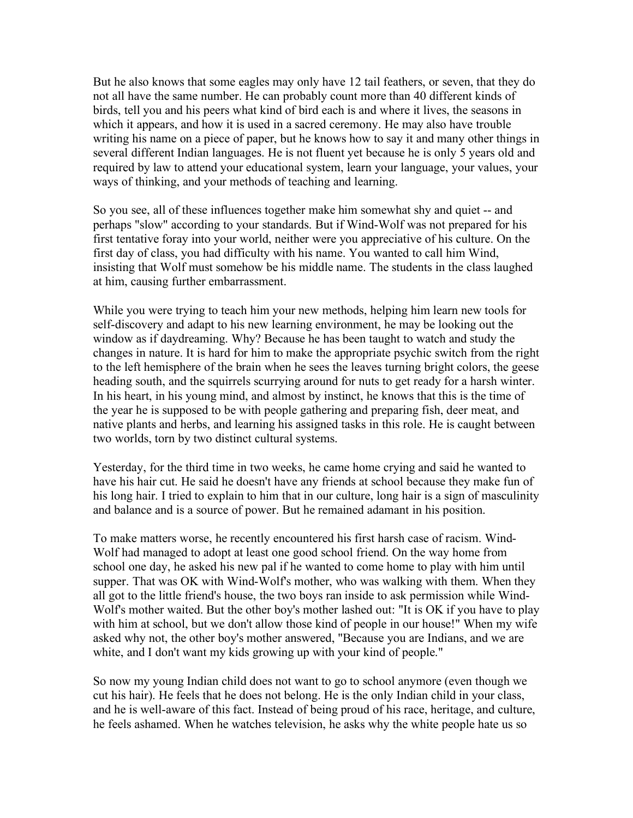But he also knows that some eagles may only have 12 tail feathers, or seven, that they do not all have the same number. He can probably count more than 40 different kinds of birds, tell you and his peers what kind of bird each is and where it lives, the seasons in which it appears, and how it is used in a sacred ceremony. He may also have trouble writing his name on a piece of paper, but he knows how to say it and many other things in several different Indian languages. He is not fluent yet because he is only 5 years old and required by law to attend your educational system, learn your language, your values, your ways of thinking, and your methods of teaching and learning.

So you see, all of these influences together make him somewhat shy and quiet -- and perhaps "slow" according to your standards. But if Wind-Wolf was not prepared for his first tentative foray into your world, neither were you appreciative of his culture. On the first day of class, you had difficulty with his name. You wanted to call him Wind, insisting that Wolf must somehow be his middle name. The students in the class laughed at him, causing further embarrassment.

While you were trying to teach him your new methods, helping him learn new tools for self-discovery and adapt to his new learning environment, he may be looking out the window as if daydreaming. Why? Because he has been taught to watch and study the changes in nature. It is hard for him to make the appropriate psychic switch from the right to the left hemisphere of the brain when he sees the leaves turning bright colors, the geese heading south, and the squirrels scurrying around for nuts to get ready for a harsh winter. In his heart, in his young mind, and almost by instinct, he knows that this is the time of the year he is supposed to be with people gathering and preparing fish, deer meat, and native plants and herbs, and learning his assigned tasks in this role. He is caught between two worlds, torn by two distinct cultural systems.

Yesterday, for the third time in two weeks, he came home crying and said he wanted to have his hair cut. He said he doesn't have any friends at school because they make fun of his long hair. I tried to explain to him that in our culture, long hair is a sign of masculinity and balance and is a source of power. But he remained adamant in his position.

To make matters worse, he recently encountered his first harsh case of racism. Wind-Wolf had managed to adopt at least one good school friend. On the way home from school one day, he asked his new pal if he wanted to come home to play with him until supper. That was OK with Wind-Wolf's mother, who was walking with them. When they all got to the little friend's house, the two boys ran inside to ask permission while Wind-Wolf's mother waited. But the other boy's mother lashed out: "It is OK if you have to play with him at school, but we don't allow those kind of people in our house!" When my wife asked why not, the other boy's mother answered, "Because you are Indians, and we are white, and I don't want my kids growing up with your kind of people."

So now my young Indian child does not want to go to school anymore (even though we cut his hair). He feels that he does not belong. He is the only Indian child in your class, and he is well-aware of this fact. Instead of being proud of his race, heritage, and culture, he feels ashamed. When he watches television, he asks why the white people hate us so